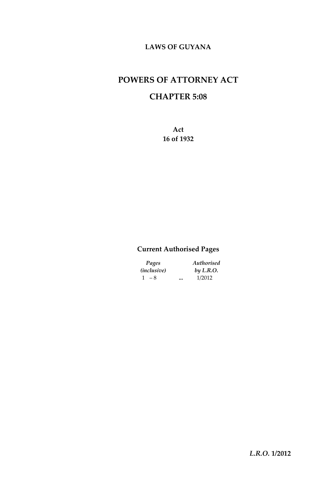### **LAWS OF GUYANA**

# **POWERS OF ATTORNEY ACT**

# **CHAPTER 5:08**

**Act 16 of 1932**

## **Current Authorised Pages**

| Pages              | Authorised |  |
|--------------------|------------|--|
| <i>(inclusive)</i> | by L.R.O.  |  |
| $1 - 8$            | <br>1/2012 |  |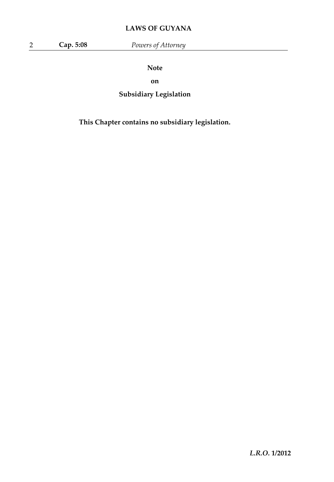## **LAWS OF GUYANA**

**Note**

**on**

**Subsidiary Legislation**

**This Chapter contains no subsidiary legislation.**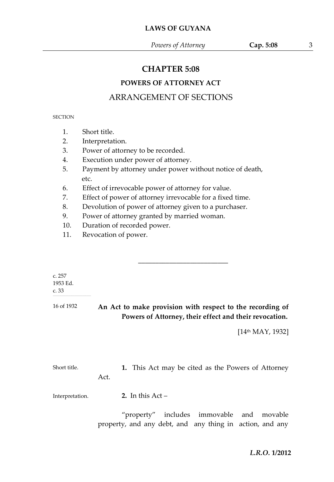## **CHAPTER 5:08**

## **POWERS OF ATTORNEY ACT**

## ARRANGEMENT OF SECTIONS

#### **SECTION**

- 1. Short title.
- 2. Interpretation.
- 3. Power of attorney to be recorded.
- 4. Execution under power of attorney.
- 5. Payment by attorney under power without notice of death, etc.
- 6. Effect of irrevocable power of attorney for value.
- 7. Effect of power of attorney irrevocable for a fixed time.
- 8. Devolution of power of attorney given to a purchaser.
- 9. Power of attorney granted by married woman.
- 10. Duration of recorded power.
- 11. Revocation of power.

| c. $257$<br>1953 Ed.<br>c.33<br>16 of 1932 |      | An Act to make provision with respect to the recording of |
|--------------------------------------------|------|-----------------------------------------------------------|
|                                            |      | Powers of Attorney, their effect and their revocation.    |
|                                            |      | [14 <sup>th</sup> MAY, 1932]                              |
| Short title.                               | Act. | 1. This Act may be cited as the Powers of Attorney        |
| Interpretation.                            |      | 2. In this $Act-$                                         |

"property" includes immovable and movable property, and any debt, and any thing in action, and any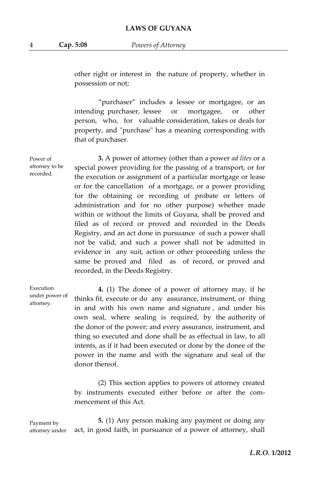other right or interest in the nature of property, whether in possession or not;

"purchaser" includes a lessee or mortgagee, or an intending purchaser, lessee or mortgagee, or other person, who, for valuable consideration, takes or deals for property, and "purchase" has a meaning corresponding with that of purchaser.

**3.** A power of attorney (other than a power *ad lites* or a special power providing for the passing of a transport, or for the execution or assignment of a particular mortgage or lease or for the cancellation of a mortgage, or a power providing for the obtaining or recording of probate or letters of administration and for no other purpose) whether made within or without the limits of Guyana, shall be proved and filed as of record or proved and recorded in the Deeds Registry, and an act done in pursuance of such a power shall not be valid, and such a power shall not be admitted in evidence in any suit, action or other proceeding unless the same be proved and filed as of record, or proved and recorded, in the Deeds Registry.

Execution under power of attorney.

Power of attorney to be recorded.

> **4.** (1) The donee of a power of attorney may, if he thinks fit, execute or do any assurance, instrument, or thing in and with his own name and signature , and under his own seal, where sealing is required, by the authority of the donor of the power; and every assurance, instrument, and thing so executed and done shall be as effectual in law, to all intents, as if it had been executed or done by the donee of the power in the name and with the signature and seal of the donor thereof.

> (2) This section applies to powers of attorney created by instruments executed either before or after the commencement of this Act.

Payment by attorney under

**5.** (1) Any person making any payment or doing any act, in good faith, in pursuance of a power of attorney, shall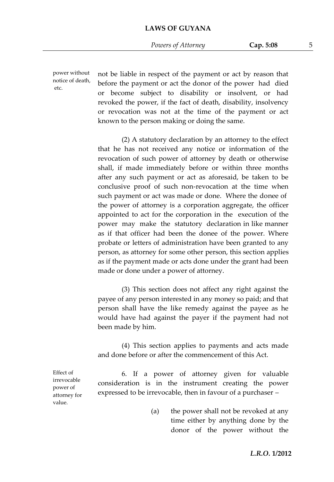power without notice of death, etc.

not be liable in respect of the payment or act by reason that before the payment or act the donor of the power had died or become subject to disability or insolvent, or had revoked the power, if the fact of death, disability, insolvency or revocation was not at the time of the payment or act known to the person making or doing the same.

(2) A statutory declaration by an attorney to the effect that he has not received any notice or information of the revocation of such power of attorney by death or otherwise shall, if made immediately before or within three months after any such payment or act as aforesaid, be taken to be conclusive proof of such non-revocation at the time when the power of attorney is a corporation aggregate, the officer appointed to act for the corporation in the execution of the power may make the statutory declaration in like manner as if that officer had been the donee of the power. Where probate or letters of administration have been granted to any person, as attorney for some other person, this section applies as if the payment made or acts done under the grant had been made or done under a power of attorney. such payment or act was made or done. Where the donee of

(3) This section does not affect any right against the payee of any person interested in any money so paid; and that person shall have the like remedy against the payee as he would have had against the payer if the payment had not been made by him.

(4) This section applies to payments and acts made and done before or after the commencement of this Act.

Effect of irrevocable power of attorney for value.

6. If a power of attorney given for valuable consideration is in the instrument creating the power expressed to be irrevocable, then in favour of a purchaser –

> (a) the power shall not be revoked at any time either by anything done by the donor of the power without the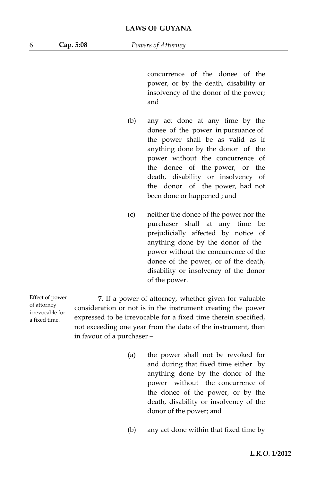concurrence of the donee of the power, or by the death, disability or insolvency of the donor of the power; and

- (b) any act done at any time by the the power shall be as valid as if anything done by the donor of the power without the concurrence of the donee of the power, or the death, disability or insolvency of the donor of the power, had not been done or happened ; and donee of the power in pursuance of
- (c) neither the donee of the power nor the purchaser shall at any time be prejudicially affected by notice of power without the concurrence of the donee of the power, or of the death, disability or insolvency of the donor of the power. anything done by the donor of the

Effect of power of attorney irrevocable for a fixed time.

**7**. If a power of attorney, whether given for valuable consideration or not is in the instrument creating the power expressed to be irrevocable for a fixed time therein specified, not exceeding one year from the date of the instrument, then in favour of a purchaser –

- (a) the power shall not be revoked for and during that fixed time either by anything done by the donor of the power without the concurrence of the donee of the power, or by the death, disability or insolvency of the donor of the power; and
- (b) any act done within that fixed time by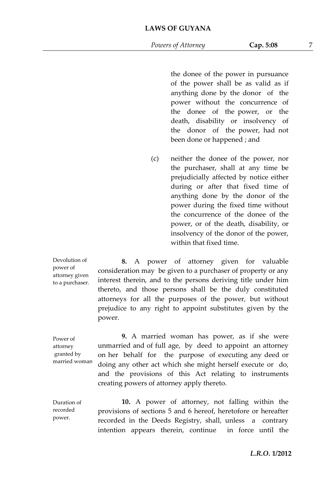the donee of the power in pursuance of the power shall be as valid as if anything done by the donor of the power without the concurrence of the donee of the power, or the death, disability or insolvency of the donor of the power, had not been done or happened ; and

(c) neither the donee of the power, nor the purchaser, shall at any time be prejudicially affected by notice either during or after that fixed time of anything done by the donor of the power during the fixed time without the concurrence of the donee of the power, or of the death, disability, or insolvency of the donor of the power, within that fixed time.

Devolution of power of attorney given to a purchaser.

**8.** A power of attorney given for valuable consideration may be given to a purchaser of property or any interest therein, and to the persons deriving title under him thereto, and those persons shall be the duly constituted attorneys for all the purposes of the power, but without prejudice to any right to appoint substitutes given by the power.

Power of attorney granted by married woman.

**9.** A married woman has power, as if she were unmarried and of full age, by deed to appoint an attorney on her behalf for the purpose of executing any deed or doing any other act which she might herself execute or do, and the provisions of this Act relating to instruments creating powers of attorney apply thereto.

Duration of recorded power.

**10.** A power of attorney, not falling within the provisions of sections 5 and 6 hereof, heretofore or hereafter recorded in the Deeds Registry, shall, unless a contrary intention appears therein, continue in force until the